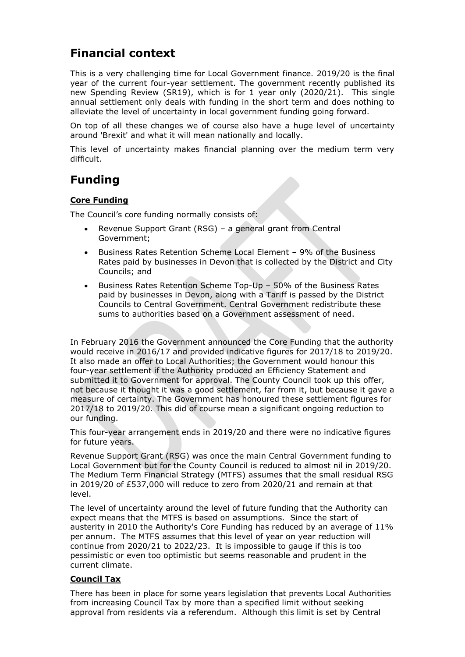# **Financial context**

This is a very challenging time for Local Government finance. 2019/20 is the final year of the current four-year settlement. The government recently published its new Spending Review (SR19), which is for 1 year only (2020/21). This single annual settlement only deals with funding in the short term and does nothing to alleviate the level of uncertainty in local government funding going forward.

On top of all these changes we of course also have a huge level of uncertainty around 'Brexit' and what it will mean nationally and locally.

This level of uncertainty makes financial planning over the medium term very difficult.

# **Funding**

### **Core Funding**

The Council's core funding normally consists of:

- Revenue Support Grant (RSG) a general grant from Central Government;
- Business Rates Retention Scheme Local Element 9% of the Business Rates paid by businesses in Devon that is collected by the District and City Councils; and
- Business Rates Retention Scheme Top-Up 50% of the Business Rates paid by businesses in Devon, along with a Tariff is passed by the District Councils to Central Government. Central Government redistribute these sums to authorities based on a Government assessment of need.

In February 2016 the Government announced the Core Funding that the authority would receive in 2016/17 and provided indicative figures for 2017/18 to 2019/20. It also made an offer to Local Authorities; the Government would honour this four-year settlement if the Authority produced an Efficiency Statement and submitted it to Government for approval. The County Council took up this offer, not because it thought it was a good settlement, far from it, but because it gave a measure of certainty. The Government has honoured these settlement figures for 2017/18 to 2019/20. This did of course mean a significant ongoing reduction to our funding.

This four-year arrangement ends in 2019/20 and there were no indicative figures for future years.

Revenue Support Grant (RSG) was once the main Central Government funding to Local Government but for the County Council is reduced to almost nil in 2019/20. The Medium Term Financial Strategy (MTFS) assumes that the small residual RSG in 2019/20 of £537,000 will reduce to zero from 2020/21 and remain at that level.

The level of uncertainty around the level of future funding that the Authority can expect means that the MTFS is based on assumptions. Since the start of austerity in 2010 the Authority's Core Funding has reduced by an average of 11% per annum. The MTFS assumes that this level of year on year reduction will continue from 2020/21 to 2022/23. It is impossible to gauge if this is too pessimistic or even too optimistic but seems reasonable and prudent in the current climate.

### **Council Tax**

There has been in place for some years legislation that prevents Local Authorities from increasing Council Tax by more than a specified limit without seeking approval from residents via a referendum. Although this limit is set by Central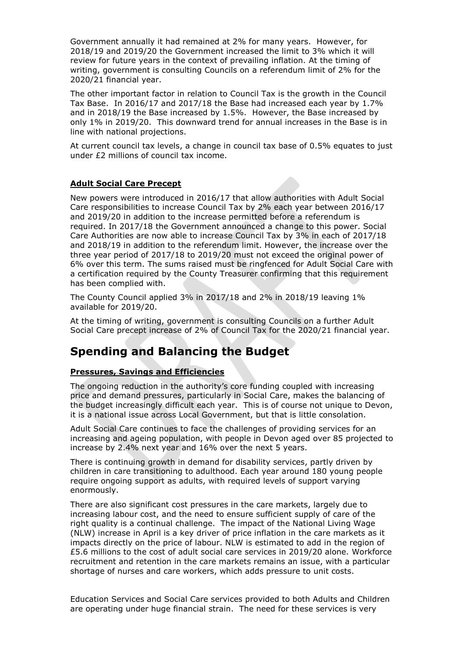Government annually it had remained at 2% for many years. However, for 2018/19 and 2019/20 the Government increased the limit to 3% which it will review for future years in the context of prevailing inflation. At the timing of writing, government is consulting Councils on a referendum limit of 2% for the 2020/21 financial year.

The other important factor in relation to Council Tax is the growth in the Council Tax Base. In 2016/17 and 2017/18 the Base had increased each year by 1.7% and in 2018/19 the Base increased by 1.5%. However, the Base increased by only 1% in 2019/20. This downward trend for annual increases in the Base is in line with national projections.

At current council tax levels, a change in council tax base of 0.5% equates to just under £2 millions of council tax income.

#### **Adult Social Care Precept**

New powers were introduced in 2016/17 that allow authorities with Adult Social Care responsibilities to increase Council Tax by 2% each year between 2016/17 and 2019/20 in addition to the increase permitted before a referendum is required. In 2017/18 the Government announced a change to this power. Social Care Authorities are now able to increase Council Tax by 3% in each of 2017/18 and 2018/19 in addition to the referendum limit. However, the increase over the three year period of 2017/18 to 2019/20 must not exceed the original power of 6% over this term. The sums raised must be ringfenced for Adult Social Care with a certification required by the County Treasurer confirming that this requirement has been complied with.

The County Council applied 3% in 2017/18 and 2% in 2018/19 leaving 1% available for 2019/20.

At the timing of writing, government is consulting Councils on a further Adult Social Care precept increase of 2% of Council Tax for the 2020/21 financial year.

# **Spending and Balancing the Budget**

#### **Pressures, Savings and Efficiencies**

The ongoing reduction in the authority's core funding coupled with increasing price and demand pressures, particularly in Social Care, makes the balancing of the budget increasingly difficult each year. This is of course not unique to Devon, it is a national issue across Local Government, but that is little consolation.

Adult Social Care continues to face the challenges of providing services for an increasing and ageing population, with people in Devon aged over 85 projected to increase by 2.4% next year and 16% over the next 5 years.

There is continuing growth in demand for disability services, partly driven by children in care transitioning to adulthood. Each year around 180 young people require ongoing support as adults, with required levels of support varying enormously.

There are also significant cost pressures in the care markets, largely due to increasing labour cost, and the need to ensure sufficient supply of care of the right quality is a continual challenge. The impact of the National Living Wage (NLW) increase in April is a key driver of price inflation in the care markets as it impacts directly on the price of labour. NLW is estimated to add in the region of £5.6 millions to the cost of adult social care services in 2019/20 alone. Workforce recruitment and retention in the care markets remains an issue, with a particular shortage of nurses and care workers, which adds pressure to unit costs.

Education Services and Social Care services provided to both Adults and Children are operating under huge financial strain. The need for these services is very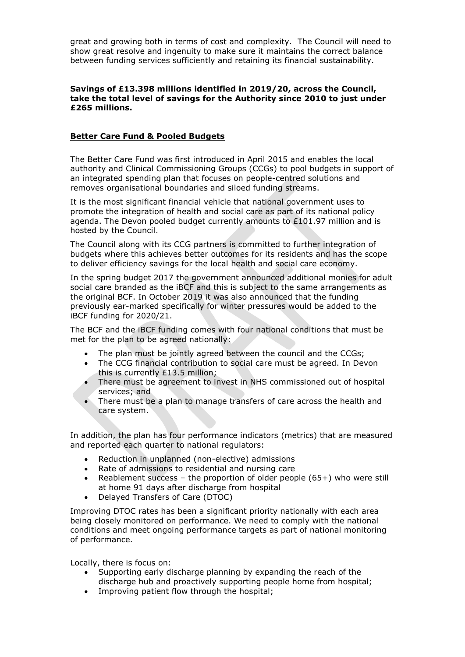great and growing both in terms of cost and complexity. The Council will need to show great resolve and ingenuity to make sure it maintains the correct balance between funding services sufficiently and retaining its financial sustainability.

#### **Savings of £13.398 millions identified in 2019/20, across the Council, take the total level of savings for the Authority since 2010 to just under £265 millions.**

#### **Better Care Fund & Pooled Budgets**

The Better Care Fund was first introduced in April 2015 and enables the local authority and Clinical Commissioning Groups (CCGs) to pool budgets in support of an integrated spending plan that focuses on people-centred solutions and removes organisational boundaries and siloed funding streams.

It is the most significant financial vehicle that national government uses to promote the integration of health and social care as part of its national policy agenda. The Devon pooled budget currently amounts to £101.97 million and is hosted by the Council.

The Council along with its CCG partners is committed to further integration of budgets where this achieves better outcomes for its residents and has the scope to deliver efficiency savings for the local health and social care economy.

In the spring budget 2017 the government announced additional monies for adult social care branded as the iBCF and this is subject to the same arrangements as the original BCF. In October 2019 it was also announced that the funding previously ear-marked specifically for winter pressures would be added to the iBCF funding for 2020/21.

The BCF and the iBCF funding comes with four national conditions that must be met for the plan to be agreed nationally:

- The plan must be jointly agreed between the council and the CCGs;
- The CCG financial contribution to social care must be agreed. In Devon this is currently £13.5 million;
- There must be agreement to invest in NHS commissioned out of hospital services; and
- There must be a plan to manage transfers of care across the health and care system.

In addition, the plan has four performance indicators (metrics) that are measured and reported each quarter to national regulators:

- Reduction in unplanned (non-elective) admissions
- Rate of admissions to residential and nursing care
- Reablement success the proportion of older people (65+) who were still at home 91 days after discharge from hospital
- Delayed Transfers of Care (DTOC)

Improving DTOC rates has been a significant priority nationally with each area being closely monitored on performance. We need to comply with the national conditions and meet ongoing performance targets as part of national monitoring of performance.

Locally, there is focus on:

- Supporting early discharge planning by expanding the reach of the discharge hub and proactively supporting people home from hospital;
- Improving patient flow through the hospital;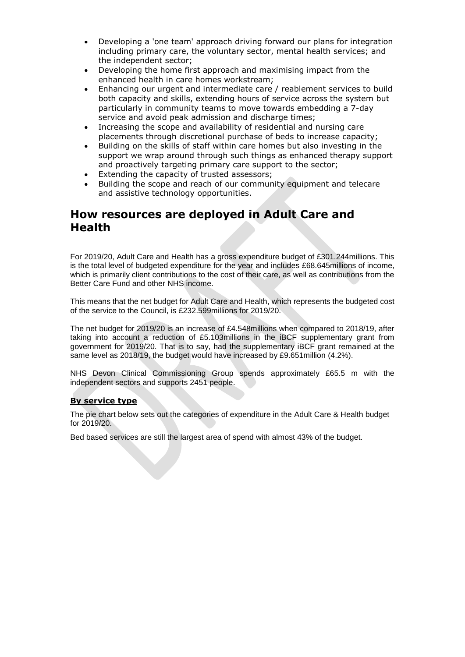- Developing a 'one team' approach driving forward our plans for integration including primary care, the voluntary sector, mental health services; and the independent sector;
- Developing the home first approach and maximising impact from the enhanced health in care homes workstream;
- Enhancing our urgent and intermediate care / reablement services to build both capacity and skills, extending hours of service across the system but particularly in community teams to move towards embedding a 7-day service and avoid peak admission and discharge times;
- Increasing the scope and availability of residential and nursing care placements through discretional purchase of beds to increase capacity;
- Building on the skills of staff within care homes but also investing in the support we wrap around through such things as enhanced therapy support and proactively targeting primary care support to the sector;
- Extending the capacity of trusted assessors;
- Building the scope and reach of our community equipment and telecare and assistive technology opportunities.

# **How resources are deployed in Adult Care and Health**

For 2019/20, Adult Care and Health has a gross expenditure budget of £301.244millions. This is the total level of budgeted expenditure for the year and includes £68.645millions of income, which is primarily client contributions to the cost of their care, as well as contributions from the Better Care Fund and other NHS income.

This means that the net budget for Adult Care and Health, which represents the budgeted cost of the service to the Council, is £232.599millions for 2019/20.

The net budget for 2019/20 is an increase of £4.548millions when compared to 2018/19, after taking into account a reduction of £5.103millions in the iBCF supplementary grant from government for 2019/20. That is to say, had the supplementary iBCF grant remained at the same level as 2018/19, the budget would have increased by £9.651million (4.2%).

NHS Devon Clinical Commissioning Group spends approximately £65.5 m with the independent sectors and supports 2451 people.

### **By service type**

The pie chart below sets out the categories of expenditure in the Adult Care & Health budget for 2019/20.

Bed based services are still the largest area of spend with almost 43% of the budget.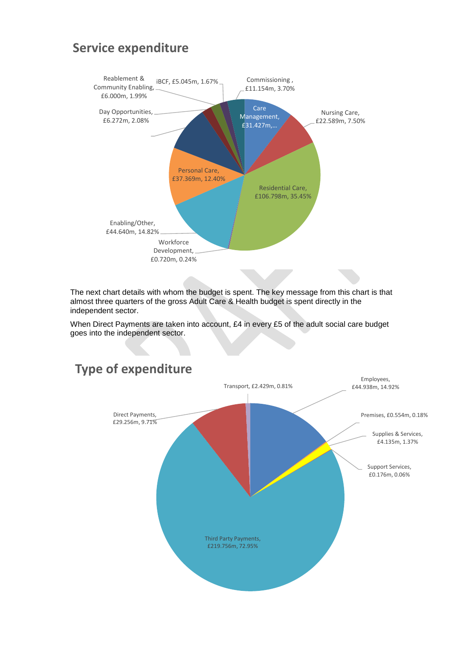# **Service expenditure**



The next chart details with whom the budget is spent. The key message from this chart is that almost three quarters of the gross Adult Care & Health budget is spent directly in the independent sector.

When Direct Payments are taken into account, £4 in every £5 of the adult social care budget goes into the independent sector.